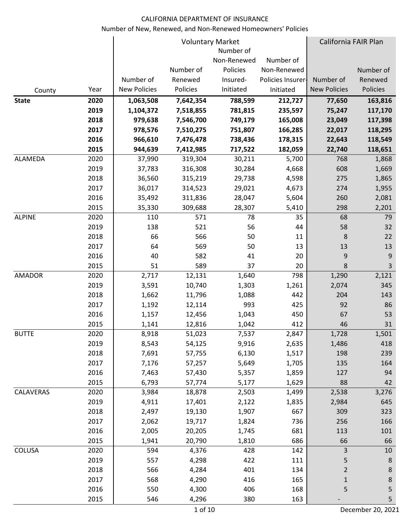|               |      |                     |           | <b>Voluntary Market</b> |                   | California FAIR Plan |                  |
|---------------|------|---------------------|-----------|-------------------------|-------------------|----------------------|------------------|
|               |      |                     |           | Number of               |                   |                      |                  |
|               |      |                     |           | Non-Renewed             | Number of         |                      |                  |
|               |      |                     | Number of | Policies                | Non-Renewed       |                      | Number of        |
|               |      | Number of           | Renewed   | Insured-                | Policies Insurer- | Number of            | Renewed          |
| County        | Year | <b>New Policies</b> | Policies  | Initiated               | Initiated         | <b>New Policies</b>  | Policies         |
| <b>State</b>  | 2020 | 1,063,508           | 7,642,354 | 788,599                 | 212,727           | 77,650               | 163,816          |
|               | 2019 | 1,104,372           | 7,518,855 | 781,815                 | 235,597           | 75,247               | 117,170          |
|               | 2018 | 979,638             | 7,546,700 | 749,179                 | 165,008           | 23,049               | 117,398          |
|               | 2017 | 978,576             | 7,510,275 | 751,807                 | 166,285           | 22,017               | 118,295          |
|               | 2016 | 966,610             | 7,476,478 | 738,436                 | 178,315           | 22,643               | 118,549          |
|               | 2015 | 944,639             | 7,412,985 | 717,522                 | 182,059           | 22,740               | 118,651          |
| ALAMEDA       | 2020 | 37,990              | 319,304   | 30,211                  | 5,700             | 768                  | 1,868            |
|               | 2019 | 37,783              | 316,308   | 30,284                  | 4,668             | 608                  | 1,669            |
|               | 2018 | 36,560              | 315,219   | 29,738                  | 4,598             | 275                  | 1,865            |
|               | 2017 | 36,017              | 314,523   | 29,021                  | 4,673             | 274                  | 1,955            |
|               | 2016 | 35,492              | 311,836   | 28,047                  | 5,604             | 260                  | 2,081            |
|               | 2015 | 35,330              | 309,688   | 28,307                  | 5,410             | 298                  | 2,201            |
| <b>ALPINE</b> | 2020 | 110                 | 571       | 78                      | 35                | 68                   | 79               |
|               | 2019 | 138                 | 521       | 56                      | 44                | 58                   | 32               |
|               | 2018 | 66                  | 566       | 50                      | 11                | 8                    | 22               |
|               | 2017 | 64                  | 569       | 50                      | 13                | 13                   | 13               |
|               | 2016 | 40                  | 582       | 41                      | 20                | 9                    | 9                |
|               | 2015 | 51                  | 589       | 37                      | 20                | 8                    | 3                |
| <b>AMADOR</b> | 2020 | 2,717               | 12,131    | 1,640                   | 798               | 1,290                | 2,121            |
|               | 2019 | 3,591               | 10,740    | 1,303                   | 1,261             | 2,074                | 345              |
|               | 2018 | 1,662               | 11,796    | 1,088                   | 442               | 204                  | 143              |
|               | 2017 | 1,192               | 12,114    | 993                     | 425               | 92                   | 86               |
|               | 2016 | 1,157               | 12,456    | 1,043                   | 450               | 67                   | 53               |
|               | 2015 | 1,141               | 12,816    | 1,042                   | 412               | 46                   | 31               |
| <b>BUTTE</b>  | 2020 | 8,918               | 51,023    | 7,537                   | 2,847             | 1,728                | 1,501            |
|               | 2019 | 8,543               | 54,125    | 9,916                   | 2,635             | 1,486                | 418              |
|               | 2018 | 7,691               | 57,755    | 6,130                   | 1,517             | 198                  | 239              |
|               | 2017 | 7,176               | 57,257    | 5,649                   | 1,705             | 135                  | 164              |
|               | 2016 | 7,463               | 57,430    | 5,357                   | 1,859             | 127                  | 94               |
|               | 2015 | 6,793               | 57,774    | 5,177                   | 1,629             | 88                   | 42               |
| CALAVERAS     | 2020 | 3,984               | 18,878    | 2,503                   | 1,499             | 2,538                | 3,276            |
|               | 2019 | 4,911               | 17,401    | 2,122                   | 1,835             | 2,984                | 645              |
|               | 2018 | 2,497               | 19,130    | 1,907                   | 667               | 309                  | 323              |
|               | 2017 | 2,062               | 19,717    | 1,824                   | 736               | 256                  | 166              |
|               | 2016 | 2,005               | 20,205    | 1,745                   | 681               | 113                  | 101              |
|               | 2015 | 1,941               | 20,790    | 1,810                   | 686               | 66                   | 66               |
| <b>COLUSA</b> | 2020 | 594                 | 4,376     | 428                     | 142               | $\overline{3}$       | 10               |
|               | 2019 | 557                 | 4,298     | 422                     | 111               | 5                    | $\boldsymbol{8}$ |
|               | 2018 | 566                 | 4,284     | 401                     | 134               | $\overline{2}$       | $8\phantom{1}$   |
|               | 2017 | 568                 | 4,290     | 416                     | 165               | 1                    | 8                |
|               | 2016 | 550                 | 4,300     | 406                     | 168               | 5                    | 5                |
|               | 2015 | 546                 | 4,296     | 380                     | 163               |                      | 5                |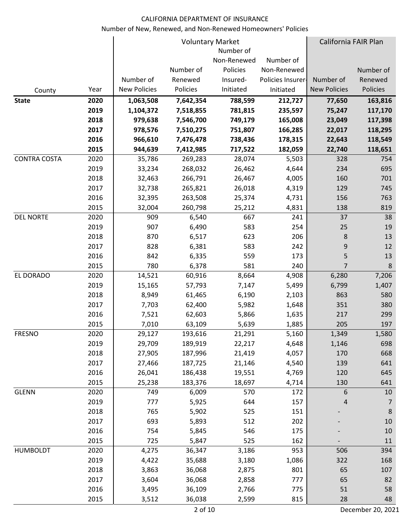|                     |      |                     |           | <b>Voluntary Market</b> |                   |                     | California FAIR Plan |
|---------------------|------|---------------------|-----------|-------------------------|-------------------|---------------------|----------------------|
|                     |      |                     |           | Number of               |                   |                     |                      |
|                     |      |                     |           | Non-Renewed             | Number of         |                     |                      |
|                     |      |                     | Number of | Policies                | Non-Renewed       |                     | Number of            |
|                     |      | Number of           | Renewed   | Insured-                | Policies Insurer- | Number of           | Renewed              |
| County              | Year | <b>New Policies</b> | Policies  | Initiated               | Initiated         | <b>New Policies</b> | Policies             |
| <b>State</b>        | 2020 | 1,063,508           | 7,642,354 | 788,599                 | 212,727           | 77,650              | 163,816              |
|                     | 2019 | 1,104,372           | 7,518,855 | 781,815                 | 235,597           | 75,247              | 117,170              |
|                     | 2018 | 979,638             | 7,546,700 | 749,179                 | 165,008           | 23,049              | 117,398              |
|                     | 2017 | 978,576             | 7,510,275 | 751,807                 | 166,285           | 22,017              | 118,295              |
|                     | 2016 | 966,610             | 7,476,478 | 738,436                 | 178,315           | 22,643              | 118,549              |
|                     | 2015 | 944,639             | 7,412,985 | 717,522                 | 182,059           | 22,740              | 118,651              |
| <b>CONTRA COSTA</b> | 2020 | 35,786              | 269,283   | 28,074                  | 5,503             | 328                 | 754                  |
|                     | 2019 | 33,234              | 268,032   | 26,462                  | 4,644             | 234                 | 695                  |
|                     | 2018 | 32,463              | 266,791   | 26,467                  | 4,005             | 160                 | 701                  |
|                     | 2017 | 32,738              | 265,821   | 26,018                  | 4,319             | 129                 | 745                  |
|                     | 2016 | 32,395              | 263,508   | 25,374                  | 4,731             | 156                 | 763                  |
|                     | 2015 | 32,004              | 260,798   | 25,212                  | 4,831             | 138                 | 819                  |
| <b>DEL NORTE</b>    | 2020 | 909                 | 6,540     | 667                     | 241               | 37                  | 38                   |
|                     | 2019 | 907                 | 6,490     | 583                     | 254               | 25                  | 19                   |
|                     | 2018 | 870                 | 6,517     | 623                     | 206               | 8                   | 13                   |
|                     | 2017 | 828                 | 6,381     | 583                     | 242               | 9                   | 12                   |
|                     | 2016 | 842                 | 6,335     | 559                     | 173               | 5                   | 13                   |
|                     | 2015 | 780                 | 6,378     | 581                     | 240               | 7                   | 8                    |
| EL DORADO           | 2020 | 14,521              | 60,916    | 8,664                   | 4,908             | 6,280               | 7,206                |
|                     | 2019 | 15,165              | 57,793    | 7,147                   | 5,499             | 6,799               | 1,407                |
|                     | 2018 | 8,949               | 61,465    | 6,190                   | 2,103             | 863                 | 580                  |
|                     | 2017 | 7,703               | 62,400    | 5,982                   | 1,648             | 351                 | 380                  |
|                     | 2016 | 7,521               | 62,603    | 5,866                   | 1,635             | 217                 | 299                  |
|                     | 2015 | 7,010               | 63,109    | 5,639                   | 1,885             | 205                 | 197                  |
| <b>FRESNO</b>       | 2020 | 29,127              | 193,616   | 21,291                  | 5,160             | 1,349               | 1,580                |
|                     | 2019 | 29,709              | 189,919   | 22,217                  | 4,648             | 1,146               | 698                  |
|                     | 2018 | 27,905              | 187,996   | 21,419                  | 4,057             | 170                 | 668                  |
|                     | 2017 | 27,466              | 187,725   | 21,146                  | 4,540             | 139                 | 641                  |
|                     | 2016 | 26,041              | 186,438   | 19,551                  | 4,769             | 120                 | 645                  |
|                     | 2015 | 25,238              | 183,376   | 18,697                  | 4,714             | 130                 | 641                  |
| <b>GLENN</b>        | 2020 | 749                 | 6,009     | 570                     | 172               | 6                   | 10                   |
|                     | 2019 | 777                 | 5,925     | 644                     | 157               | 4                   | $\overline{7}$       |
|                     | 2018 | 765                 | 5,902     | 525                     | 151               |                     | $\,8\,$              |
|                     | 2017 | 693                 | 5,893     | 512                     | 202               |                     | 10                   |
|                     | 2016 | 754                 | 5,845     | 546                     | 175               |                     | 10                   |
|                     | 2015 | 725                 | 5,847     | 525                     | 162               |                     | 11                   |
| <b>HUMBOLDT</b>     | 2020 | 4,275               | 36,347    | 3,186                   | 953               | 506                 | 394                  |
|                     | 2019 | 4,422               | 35,688    | 3,180                   | 1,086             | 322                 | 168                  |
|                     | 2018 | 3,863               | 36,068    | 2,875                   | 801               | 65                  | 107                  |
|                     | 2017 | 3,604               | 36,068    | 2,858                   | 777               | 65                  | 82                   |
|                     | 2016 | 3,495               | 36,109    | 2,766                   | 775               | 51                  | 58                   |
|                     | 2015 | 3,512               | 36,038    | 2,599                   | 815               | 28                  | 48                   |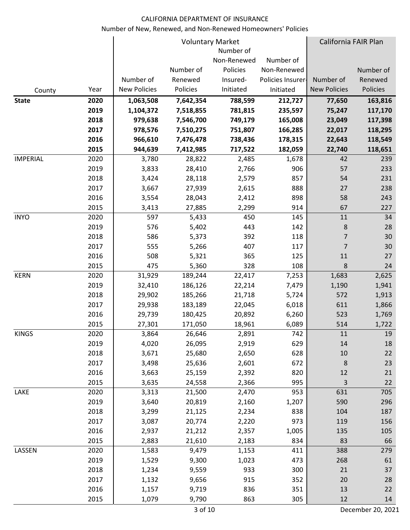|                 |      |                     |           | <b>Voluntary Market</b> |                   | California FAIR Plan |           |
|-----------------|------|---------------------|-----------|-------------------------|-------------------|----------------------|-----------|
|                 |      |                     |           | Number of               |                   |                      |           |
|                 |      |                     |           | Non-Renewed             | Number of         |                      |           |
|                 |      |                     | Number of | Policies                | Non-Renewed       |                      | Number of |
|                 |      | Number of           | Renewed   | Insured-                | Policies Insurer- | Number of            | Renewed   |
| County          | Year | <b>New Policies</b> | Policies  | Initiated               | Initiated         | <b>New Policies</b>  | Policies  |
| <b>State</b>    | 2020 | 1,063,508           | 7,642,354 | 788,599                 | 212,727           | 77,650               | 163,816   |
|                 | 2019 | 1,104,372           | 7,518,855 | 781,815                 | 235,597           | 75,247               | 117,170   |
|                 | 2018 | 979,638             | 7,546,700 | 749,179                 | 165,008           | 23,049               | 117,398   |
|                 | 2017 | 978,576             | 7,510,275 | 751,807                 | 166,285           | 22,017               | 118,295   |
|                 | 2016 | 966,610             | 7,476,478 | 738,436                 | 178,315           | 22,643               | 118,549   |
|                 | 2015 | 944,639             | 7,412,985 | 717,522                 | 182,059           | 22,740               | 118,651   |
| <b>IMPERIAL</b> | 2020 | 3,780               | 28,822    | 2,485                   | 1,678             | 42                   | 239       |
|                 | 2019 | 3,833               | 28,410    | 2,766                   | 906               | 57                   | 233       |
|                 | 2018 | 3,424               | 28,118    | 2,579                   | 857               | 54                   | 231       |
|                 | 2017 | 3,667               | 27,939    | 2,615                   | 888               | 27                   | 238       |
|                 | 2016 | 3,554               | 28,043    | 2,412                   | 898               | 58                   | 243       |
|                 | 2015 | 3,413               | 27,885    | 2,299                   | 914               | 67                   | 227       |
| <b>INYO</b>     | 2020 | 597                 | 5,433     | 450                     | 145               | 11                   | 34        |
|                 | 2019 | 576                 | 5,402     | 443                     | 142               | 8                    | 28        |
|                 | 2018 | 586                 | 5,373     | 392                     | 118               | 7                    | 30        |
|                 | 2017 | 555                 | 5,266     | 407                     | 117               | $\overline{7}$       | 30        |
|                 | 2016 | 508                 | 5,321     | 365                     | 125               | 11                   | 27        |
|                 | 2015 | 475                 | 5,360     | 328                     | 108               | 8                    | 24        |
| <b>KERN</b>     | 2020 | 31,929              | 189,244   | 22,417                  | 7,253             | 1,683                | 2,625     |
|                 | 2019 | 32,410              | 186,126   | 22,214                  | 7,479             | 1,190                | 1,941     |
|                 | 2018 | 29,902              | 185,266   | 21,718                  | 5,724             | 572                  | 1,913     |
|                 | 2017 | 29,938              | 183,189   | 22,045                  | 6,018             | 611                  | 1,866     |
|                 | 2016 | 29,739              | 180,425   | 20,892                  | 6,260             | 523                  | 1,769     |
|                 | 2015 | 27,301              | 171,050   | 18,961                  | 6,089             | 514                  | 1,722     |
| <b>KINGS</b>    | 2020 | 3,864               | 26,646    | 2,891                   | 742               | 11                   | 19        |
|                 | 2019 | 4,020               | 26,095    | 2,919                   | 629               | 14                   | 18        |
|                 | 2018 | 3,671               | 25,680    | 2,650                   | 628               | 10                   | 22        |
|                 | 2017 | 3,498               | 25,636    | 2,601                   | 672               | $\,8$                | 23        |
|                 | 2016 | 3,663               | 25,159    | 2,392                   | 820               | 12                   | 21        |
|                 | 2015 | 3,635               | 24,558    | 2,366                   | 995               | $\overline{3}$       | 22        |
| LAKE            | 2020 | 3,313               | 21,500    | 2,470                   | 953               | 631                  | 705       |
|                 | 2019 | 3,640               | 20,819    | 2,160                   | 1,207             | 590                  | 296       |
|                 | 2018 | 3,299               | 21,125    | 2,234                   | 838               | 104                  | 187       |
|                 | 2017 | 3,087               | 20,774    | 2,220                   | 973               | 119                  | 156       |
|                 | 2016 | 2,937               | 21,212    | 2,357                   | 1,005             | 135                  | 105       |
|                 | 2015 | 2,883               | 21,610    | 2,183                   | 834               | 83                   | 66        |
| LASSEN          | 2020 | 1,583               | 9,479     | 1,153                   | 411               | 388                  | 279       |
|                 | 2019 | 1,529               | 9,300     | 1,023                   | 473               | 268                  | 61        |
|                 | 2018 | 1,234               | 9,559     | 933                     | 300               | 21                   | 37        |
|                 | 2017 | 1,132               | 9,656     | 915                     | 352               | 20                   | 28        |
|                 | 2016 | 1,157               | 9,719     | 836                     | 351               | 13                   | 22        |
|                 | 2015 | 1,079               | 9,790     | 863                     | 305               | 12                   | 14        |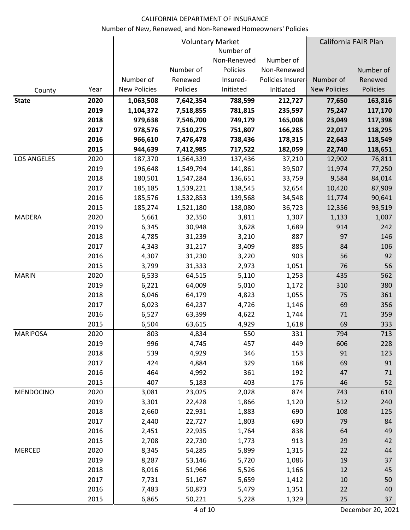|                    |      |                     |           | <b>Voluntary Market</b><br>Number of |                   | California FAIR Plan |           |
|--------------------|------|---------------------|-----------|--------------------------------------|-------------------|----------------------|-----------|
|                    |      |                     |           | Non-Renewed                          | Number of         |                      |           |
|                    |      |                     | Number of | Policies                             | Non-Renewed       |                      | Number of |
|                    |      | Number of           | Renewed   | Insured-                             | Policies Insurer- | Number of            | Renewed   |
| County             | Year | <b>New Policies</b> | Policies  | Initiated                            | Initiated         | <b>New Policies</b>  | Policies  |
| <b>State</b>       | 2020 | 1,063,508           | 7,642,354 | 788,599                              | 212,727           | 77,650               | 163,816   |
|                    | 2019 | 1,104,372           | 7,518,855 | 781,815                              | 235,597           | 75,247               | 117,170   |
|                    | 2018 | 979,638             | 7,546,700 | 749,179                              | 165,008           | 23,049               | 117,398   |
|                    | 2017 | 978,576             | 7,510,275 | 751,807                              | 166,285           | 22,017               | 118,295   |
|                    | 2016 | 966,610             | 7,476,478 | 738,436                              | 178,315           | 22,643               | 118,549   |
|                    | 2015 | 944,639             | 7,412,985 | 717,522                              | 182,059           | 22,740               | 118,651   |
| <b>LOS ANGELES</b> | 2020 | 187,370             | 1,564,339 | 137,436                              | 37,210            | 12,902               | 76,811    |
|                    | 2019 | 196,648             | 1,549,794 | 141,861                              | 39,507            | 11,974               | 77,250    |
|                    | 2018 | 180,501             | 1,547,284 | 136,651                              | 33,759            | 9,584                | 84,014    |
|                    | 2017 | 185,185             | 1,539,221 | 138,545                              | 32,654            | 10,420               | 87,909    |
|                    | 2016 | 185,576             | 1,532,853 | 139,568                              | 34,548            | 11,774               | 90,641    |
|                    | 2015 | 185,274             | 1,521,180 | 138,080                              | 36,723            | 12,356               | 93,519    |
| MADERA             | 2020 | 5,661               | 32,350    | 3,811                                | 1,307             | 1,133                | 1,007     |
|                    | 2019 | 6,345               | 30,948    | 3,628                                | 1,689             | 914                  | 242       |
|                    | 2018 | 4,785               | 31,239    | 3,210                                | 887               | 97                   | 146       |
|                    | 2017 | 4,343               | 31,217    | 3,409                                | 885               | 84                   | 106       |
|                    | 2016 | 4,307               | 31,230    | 3,220                                | 903               | 56                   | 92        |
|                    | 2015 | 3,799               | 31,333    | 2,973                                | 1,051             | 76                   | 56        |
| <b>MARIN</b>       | 2020 | 6,533               | 64,515    | 5,110                                | 1,253             | 435                  | 562       |
|                    | 2019 | 6,221               | 64,009    | 5,010                                | 1,172             | 310                  | 380       |
|                    | 2018 | 6,046               | 64,179    | 4,823                                | 1,055             | 75                   | 361       |
|                    | 2017 | 6,023               | 64,237    | 4,726                                | 1,146             | 69                   | 356       |
|                    | 2016 | 6,527               | 63,399    | 4,622                                | 1,744             | 71                   | 359       |
|                    | 2015 | 6,504               | 63,615    | 4,929                                | 1,618             | 69                   | 333       |
| MARIPOSA           | 2020 | 803                 | 4,834     | 550                                  | 331               | 794                  | 713       |
|                    | 2019 | 996                 | 4,745     | 457                                  | 449               | 606                  | 228       |
|                    | 2018 | 539                 | 4,929     | 346                                  | 153               | 91                   | 123       |
|                    | 2017 | 424                 | 4,884     | 329                                  | 168               | 69                   | 91        |
|                    | 2016 | 464                 | 4,992     | 361                                  | 192               | 47                   | 71        |
|                    | 2015 | 407                 | 5,183     | 403                                  | 176               | 46                   | 52        |
| <b>MENDOCINO</b>   | 2020 | 3,081               | 23,025    | 2,028                                | 874               | 743                  | 610       |
|                    | 2019 | 3,301               | 22,428    | 1,866                                | 1,120             | 512                  | 240       |
|                    | 2018 | 2,660               | 22,931    | 1,883                                | 690               | 108                  | 125       |
|                    | 2017 | 2,440               | 22,727    | 1,803                                | 690               | 79                   | 84        |
|                    | 2016 | 2,451               | 22,935    | 1,764                                | 838               | 64                   | 49        |
|                    | 2015 | 2,708               | 22,730    | 1,773                                | 913               | 29                   | 42        |
| <b>MERCED</b>      | 2020 | 8,345               | 54,285    | 5,899                                | 1,315             | 22                   | 44        |
|                    | 2019 | 8,287               | 53,146    | 5,720                                | 1,086             | 19                   | 37        |
|                    | 2018 | 8,016               | 51,966    | 5,526                                | 1,166             | 12                   | 45        |
|                    | 2017 | 7,731               | 51,167    | 5,659                                | 1,412             | 10                   | 50        |
|                    | 2016 | 7,483               | 50,873    | 5,479                                | 1,351             | 22                   | 40        |
|                    | 2015 | 6,865               | 50,221    | 5,228                                | 1,329             | 25                   | 37        |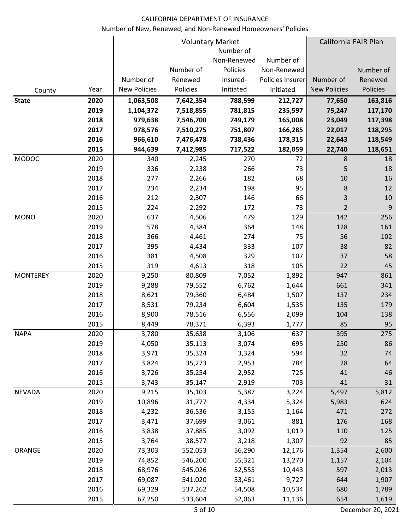|                 |              |                     |                | <b>Voluntary Market</b> |                   | California FAIR Plan |            |
|-----------------|--------------|---------------------|----------------|-------------------------|-------------------|----------------------|------------|
|                 |              |                     |                | Number of               |                   |                      |            |
|                 |              |                     |                | Non-Renewed             | Number of         |                      |            |
|                 |              |                     | Number of      | Policies                | Non-Renewed       |                      | Number of  |
|                 |              | Number of           | Renewed        | Insured-                | Policies Insurer- | Number of            | Renewed    |
| County          | Year         | <b>New Policies</b> | Policies       | Initiated               | Initiated         | <b>New Policies</b>  | Policies   |
| <b>State</b>    | 2020         | 1,063,508           | 7,642,354      | 788,599                 | 212,727           | 77,650               | 163,816    |
|                 | 2019         | 1,104,372           | 7,518,855      | 781,815                 | 235,597           | 75,247               | 117,170    |
|                 | 2018         | 979,638             | 7,546,700      | 749,179                 | 165,008           | 23,049               | 117,398    |
|                 | 2017         | 978,576             | 7,510,275      | 751,807                 | 166,285           | 22,017               | 118,295    |
|                 | 2016         | 966,610             | 7,476,478      | 738,436                 | 178,315           | 22,643               | 118,549    |
|                 | 2015         | 944,639             | 7,412,985      | 717,522                 | 182,059           | 22,740               | 118,651    |
| MODOC           | 2020         | 340                 | 2,245          | 270                     | 72                | 8                    | 18         |
|                 | 2019         | 336                 | 2,238          | 266                     | 73                | 5                    | 18         |
|                 | 2018         | 277                 | 2,266          | 182                     | 68                | 10                   | 16         |
|                 | 2017         | 234                 | 2,234          | 198                     | 95                | 8                    | 12         |
|                 | 2016         | 212                 | 2,307          | 146                     | 66                | 3                    | 10         |
|                 | 2015         | 224                 | 2,292          | 172                     | 73                | $\overline{2}$       | 9          |
| <b>MONO</b>     | 2020<br>2019 | 637<br>578          | 4,506          | 479<br>364              | 129<br>148        | 142<br>128           | 256<br>161 |
|                 | 2018         | 366                 | 4,384<br>4,461 | 274                     | 75                | 56                   | 102        |
|                 | 2017         | 395                 | 4,434          | 333                     | 107               | 38                   | 82         |
|                 | 2016         | 381                 | 4,508          | 329                     | 107               | 37                   | 58         |
|                 | 2015         | 319                 | 4,613          | 318                     | 105               | 22                   | 45         |
| <b>MONTEREY</b> | 2020         | 9,250               | 80,809         | 7,052                   | 1,892             | 947                  | 861        |
|                 | 2019         | 9,288               | 79,552         | 6,762                   | 1,644             | 661                  | 341        |
|                 | 2018         | 8,621               | 79,360         | 6,484                   | 1,507             | 137                  | 234        |
|                 | 2017         | 8,531               | 79,234         | 6,604                   | 1,535             | 135                  | 179        |
|                 | 2016         | 8,900               | 78,516         | 6,556                   | 2,099             | 104                  | 138        |
|                 | 2015         | 8,449               | 78,371         | 6,393                   | 1,777             | 85                   | 95         |
| <b>NAPA</b>     | 2020         | 3,780               | 35,638         | 3,106                   | 637               | 395                  | 275        |
|                 | 2019         | 4,050               | 35,113         | 3,074                   | 695               | 250                  | 86         |
|                 | 2018         | 3,971               | 35,324         | 3,324                   | 594               | 32                   | 74         |
|                 | 2017         | 3,824               | 35,273         | 2,953                   | 784               | 28                   | 64         |
|                 | 2016         | 3,726               | 35,254         | 2,952                   | 725               | 41                   | 46         |
|                 | 2015         | 3,743               | 35,147         | 2,919                   | 703               | 41                   | 31         |
| <b>NEVADA</b>   | 2020         | 9,215               | 35,103         | 5,387                   | 3,224             | 5,497                | 5,812      |
|                 | 2019         | 10,896              | 31,777         | 4,334                   | 5,324             | 5,983                | 624        |
|                 | 2018         | 4,232               | 36,536         | 3,155                   | 1,164             | 471                  | 272        |
|                 | 2017         | 3,471               | 37,699         | 3,061                   | 881               | 176                  | 168        |
|                 | 2016         | 3,838               | 37,885         | 3,092                   | 1,019             | 110                  | 125        |
|                 | 2015         | 3,764               | 38,577         | 3,218                   | 1,307             | 92                   | 85         |
| ORANGE          | 2020         | 73,303              | 552,053        | 56,290                  | 12,176            | 1,354                | 2,600      |
|                 | 2019         | 74,852              | 546,200        | 55,321                  | 13,270            | 1,157                | 2,104      |
|                 | 2018         | 68,976              | 545,026        | 52,555                  | 10,443            | 597                  | 2,013      |
|                 | 2017         | 69,087              | 541,020        | 53,461                  | 9,727             | 644                  | 1,907      |
|                 | 2016         | 69,329              | 537,262        | 54,508                  | 10,534            | 680                  | 1,789      |
|                 | 2015         | 67,250              | 533,604        | 52,063                  | 11,136            | 654                  | 1,619      |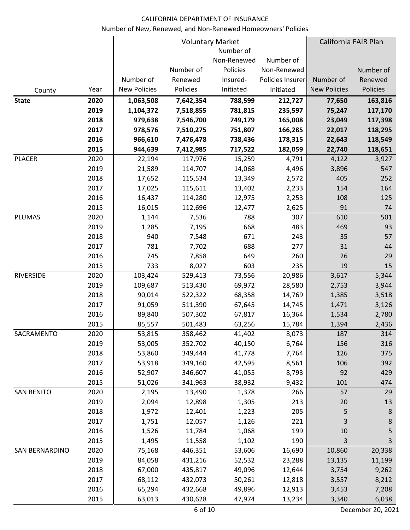|                   |      |                     |           | <b>Voluntary Market</b> |                   | California FAIR Plan |           |
|-------------------|------|---------------------|-----------|-------------------------|-------------------|----------------------|-----------|
|                   |      |                     |           | Number of               |                   |                      |           |
|                   |      |                     |           | Non-Renewed             | Number of         |                      |           |
|                   |      |                     | Number of | Policies                | Non-Renewed       |                      | Number of |
|                   |      | Number of           | Renewed   | Insured-                | Policies Insurer- | Number of            | Renewed   |
| County            | Year | <b>New Policies</b> | Policies  | Initiated               | Initiated         | <b>New Policies</b>  | Policies  |
| <b>State</b>      | 2020 | 1,063,508           | 7,642,354 | 788,599                 | 212,727           | 77,650               | 163,816   |
|                   | 2019 | 1,104,372           | 7,518,855 | 781,815                 | 235,597           | 75,247               | 117,170   |
|                   | 2018 | 979,638             | 7,546,700 | 749,179                 | 165,008           | 23,049               | 117,398   |
|                   | 2017 | 978,576             | 7,510,275 | 751,807                 | 166,285           | 22,017               | 118,295   |
|                   | 2016 | 966,610             | 7,476,478 | 738,436                 | 178,315           | 22,643               | 118,549   |
|                   | 2015 | 944,639             | 7,412,985 | 717,522                 | 182,059           | 22,740               | 118,651   |
| <b>PLACER</b>     | 2020 | 22,194              | 117,976   | 15,259                  | 4,791             | 4,122                | 3,927     |
|                   | 2019 | 21,589              | 114,707   | 14,068                  | 4,496             | 3,896                | 547       |
|                   | 2018 | 17,652              | 115,534   | 13,349                  | 2,572             | 405                  | 252       |
|                   | 2017 | 17,025              | 115,611   | 13,402                  | 2,233             | 154                  | 164       |
|                   | 2016 | 16,437              | 114,280   | 12,975                  | 2,253             | 108                  | 125       |
|                   | 2015 | 16,015              | 112,696   | 12,477                  | 2,625             | 91                   | 74        |
| <b>PLUMAS</b>     | 2020 | 1,144               | 7,536     | 788                     | 307               | 610                  | 501       |
|                   | 2019 | 1,285               | 7,195     | 668                     | 483               | 469                  | 93        |
|                   | 2018 | 940                 | 7,548     | 671                     | 243               | 35                   | 57        |
|                   | 2017 | 781                 | 7,702     | 688                     | 277               | 31                   | 44        |
|                   | 2016 | 745                 | 7,858     | 649                     | 260               | 26                   | 29        |
|                   | 2015 | 733                 | 8,027     | 603                     | 235               | 19                   | 15        |
| <b>RIVERSIDE</b>  | 2020 | 103,424             | 529,413   | 73,556                  | 20,986            | 3,617                | 5,344     |
|                   | 2019 | 109,687             | 513,430   | 69,972                  | 28,580            | 2,753                | 3,944     |
|                   | 2018 | 90,014              | 522,322   | 68,358                  | 14,769            | 1,385                | 3,518     |
|                   | 2017 | 91,059              | 511,390   | 67,645                  | 14,745            | 1,471                | 3,126     |
|                   | 2016 | 89,840              | 507,302   | 67,817                  | 16,364            | 1,534                | 2,780     |
|                   | 2015 | 85,557              | 501,483   | 63,256                  | 15,784            | 1,394                | 2,436     |
| SACRAMENTO        | 2020 | 53,815              | 358,462   | 41,402                  | 8,073             | 187                  | 314       |
|                   | 2019 | 53,005              | 352,702   | 40,150                  | 6,764             | 156                  | 316       |
|                   | 2018 | 53,860              | 349,444   | 41,778                  | 7,764             | 126                  | 375       |
|                   | 2017 | 53,918              | 349,160   | 42,595                  | 8,561             | 106                  | 392       |
|                   | 2016 | 52,907              | 346,607   | 41,055                  | 8,793             | 92                   | 429       |
|                   | 2015 | 51,026              | 341,963   | 38,932                  | 9,432             | 101                  | 474       |
| <b>SAN BENITO</b> | 2020 | 2,195               | 13,490    | 1,378                   | 266               | 57                   | 29        |
|                   | 2019 | 2,094               | 12,898    | 1,305                   | 213               | 20                   | 13        |
|                   | 2018 | 1,972               | 12,401    | 1,223                   | 205               | 5                    | 8         |
|                   | 2017 | 1,751               | 12,057    | 1,126                   | 221               | 3                    | 8         |
|                   | 2016 | 1,526               | 11,784    | 1,068                   | 199               | 10                   | 5         |
|                   | 2015 | 1,495               | 11,558    | 1,102                   | 190               | 3                    | 3         |
| SAN BERNARDINO    | 2020 | 75,168              | 446,351   | 53,606                  | 16,690            | 10,860               | 20,338    |
|                   | 2019 | 84,058              | 431,216   | 52,532                  | 23,288            | 13,135               | 11,199    |
|                   | 2018 | 67,000              | 435,817   | 49,096                  | 12,644            | 3,754                | 9,262     |
|                   | 2017 | 68,112              | 432,073   | 50,261                  | 12,818            | 3,557                | 8,212     |
|                   | 2016 | 65,294              | 432,668   | 49,896                  | 12,913            | 3,453                | 7,208     |
|                   | 2015 | 63,013              | 430,628   | 47,974                  | 13,234            | 3,340                | 6,038     |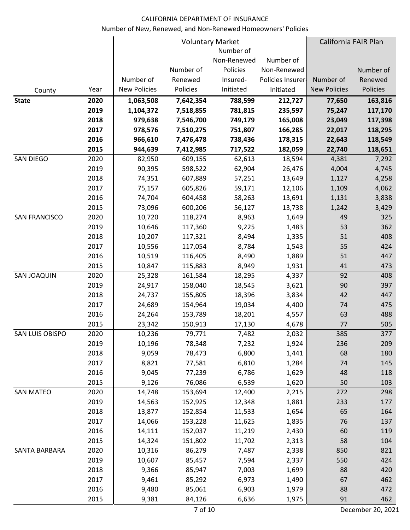|                      |      |                     |           | <b>Voluntary Market</b><br>Number of |                   | California FAIR Plan |           |
|----------------------|------|---------------------|-----------|--------------------------------------|-------------------|----------------------|-----------|
|                      |      |                     |           | Non-Renewed                          | Number of         |                      |           |
|                      |      |                     | Number of | Policies                             | Non-Renewed       |                      | Number of |
|                      |      | Number of           | Renewed   | Insured-                             | Policies Insurer- | Number of            | Renewed   |
| County               | Year | <b>New Policies</b> | Policies  | Initiated                            | Initiated         | <b>New Policies</b>  | Policies  |
| <b>State</b>         | 2020 | 1,063,508           | 7,642,354 | 788,599                              | 212,727           | 77,650               | 163,816   |
|                      | 2019 | 1,104,372           | 7,518,855 | 781,815                              | 235,597           | 75,247               | 117,170   |
|                      | 2018 | 979,638             | 7,546,700 | 749,179                              | 165,008           | 23,049               | 117,398   |
|                      | 2017 | 978,576             | 7,510,275 | 751,807                              | 166,285           | 22,017               | 118,295   |
|                      | 2016 | 966,610             | 7,476,478 | 738,436                              | 178,315           | 22,643               | 118,549   |
|                      | 2015 | 944,639             | 7,412,985 | 717,522                              | 182,059           | 22,740               | 118,651   |
| SAN DIEGO            | 2020 | 82,950              | 609,155   | 62,613                               | 18,594            | 4,381                | 7,292     |
|                      | 2019 | 90,395              | 598,522   | 62,904                               | 26,476            | 4,004                | 4,745     |
|                      | 2018 | 74,351              | 607,889   | 57,251                               | 13,649            | 1,127                | 4,258     |
|                      | 2017 | 75,157              | 605,826   | 59,171                               | 12,106            | 1,109                | 4,062     |
|                      | 2016 | 74,704              | 604,458   | 58,263                               | 13,691            | 1,131                | 3,838     |
|                      | 2015 | 73,096              | 600,206   | 56,127                               | 13,738            | 1,242                | 3,429     |
| <b>SAN FRANCISCO</b> | 2020 | 10,720              | 118,274   | 8,963                                | 1,649             | 49                   | 325       |
|                      | 2019 | 10,646              | 117,360   | 9,225                                | 1,483             | 53                   | 362       |
|                      | 2018 | 10,207              | 117,321   | 8,494                                | 1,335             | 51                   | 408       |
|                      | 2017 | 10,556              | 117,054   | 8,784                                | 1,543             | 55                   | 424       |
|                      | 2016 | 10,519              | 116,405   | 8,490                                | 1,889             | 51                   | 447       |
|                      | 2015 | 10,847              | 115,883   | 8,949                                | 1,931             | 41                   | 473       |
| <b>SAN JOAQUIN</b>   | 2020 | 25,328              | 161,584   | 18,295                               | 4,337             | 92                   | 408       |
|                      | 2019 | 24,917              | 158,040   | 18,545                               | 3,621             | 90                   | 397       |
|                      | 2018 | 24,737              | 155,805   | 18,396                               | 3,834             | 42                   | 447       |
|                      | 2017 | 24,689              | 154,964   | 19,034                               | 4,400             | 74                   | 475       |
|                      | 2016 | 24,264              | 153,789   | 18,201                               | 4,557             | 63                   | 488       |
|                      | 2015 | 23,342              | 150,913   | 17,130                               | 4,678             | 77                   | 505       |
| SAN LUIS OBISPO      | 2020 | 10,236              | 79,771    | 7,482                                | 2,032             | 385                  | 377       |
|                      | 2019 | 10,196              | 78,348    | 7,232                                | 1,924             | 236                  | 209       |
|                      | 2018 | 9,059               | 78,473    | 6,800                                | 1,441             | 68                   | 180       |
|                      | 2017 | 8,821               | 77,581    | 6,810                                | 1,284             | 74                   | 145       |
|                      | 2016 | 9,045               | 77,239    | 6,786                                | 1,629             | 48                   | 118       |
|                      | 2015 | 9,126               | 76,086    | 6,539                                | 1,620             | 50                   | 103       |
| <b>SAN MATEO</b>     | 2020 | 14,748              | 153,694   | 12,400                               | 2,215             | 272                  | 298       |
|                      | 2019 | 14,563              | 152,925   | 12,348                               | 1,881             | 233                  | 177       |
|                      | 2018 | 13,877              | 152,854   | 11,533                               | 1,654             | 65                   | 164       |
|                      | 2017 | 14,066              | 153,228   | 11,625                               | 1,835             | 76                   | 137       |
|                      | 2016 | 14,111              | 152,037   | 11,219                               | 2,430             | 60                   | 119       |
|                      | 2015 | 14,324              | 151,802   | 11,702                               | 2,313             | 58                   | 104       |
| SANTA BARBARA        | 2020 | 10,316              | 86,279    | 7,487                                | 2,338             | 850                  | 821       |
|                      | 2019 | 10,607              | 85,457    | 7,594                                | 2,337             | 550                  | 424       |
|                      | 2018 | 9,366               | 85,947    | 7,003                                | 1,699             | 88                   | 420       |
|                      | 2017 | 9,461               | 85,292    | 6,973                                | 1,490             | 67                   | 462       |
|                      | 2016 | 9,480               | 85,061    | 6,903                                | 1,979             | 88                   | 472       |
|                      | 2015 | 9,381               | 84,126    | 6,636                                | 1,975             | 91                   | 462       |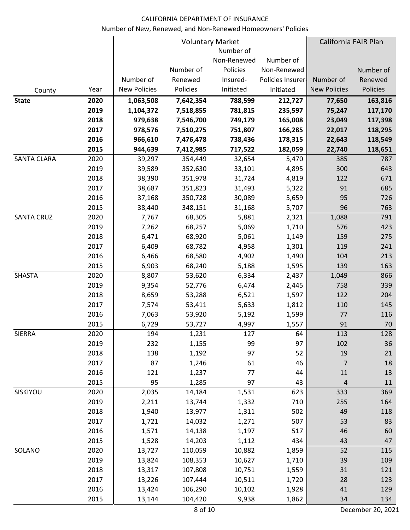|                    |      |                     |           | <b>Voluntary Market</b><br>Number of |                   | California FAIR Plan |           |
|--------------------|------|---------------------|-----------|--------------------------------------|-------------------|----------------------|-----------|
|                    |      |                     |           | Non-Renewed                          | Number of         |                      |           |
|                    |      |                     | Number of | Policies                             | Non-Renewed       |                      | Number of |
|                    |      | Number of           | Renewed   | Insured-                             | Policies Insurer- | Number of            | Renewed   |
| County             | Year | <b>New Policies</b> | Policies  | Initiated                            | Initiated         | <b>New Policies</b>  | Policies  |
| <b>State</b>       | 2020 | 1,063,508           | 7,642,354 | 788,599                              | 212,727           | 77,650               | 163,816   |
|                    | 2019 | 1,104,372           | 7,518,855 | 781,815                              | 235,597           | 75,247               | 117,170   |
|                    | 2018 | 979,638             | 7,546,700 | 749,179                              | 165,008           | 23,049               | 117,398   |
|                    | 2017 | 978,576             | 7,510,275 | 751,807                              | 166,285           | 22,017               | 118,295   |
|                    | 2016 | 966,610             | 7,476,478 | 738,436                              | 178,315           | 22,643               | 118,549   |
|                    | 2015 | 944,639             | 7,412,985 | 717,522                              | 182,059           | 22,740               | 118,651   |
| <b>SANTA CLARA</b> | 2020 | 39,297              | 354,449   | 32,654                               | 5,470             | 385                  | 787       |
|                    | 2019 | 39,589              | 352,630   | 33,101                               | 4,895             | 300                  | 643       |
|                    | 2018 | 38,390              | 351,978   | 31,724                               | 4,819             | 122                  | 671       |
|                    | 2017 | 38,687              | 351,823   | 31,493                               | 5,322             | 91                   | 685       |
|                    | 2016 | 37,168              | 350,728   | 30,089                               | 5,659             | 95                   | 726       |
|                    | 2015 | 38,440              | 348,151   | 31,168                               | 5,707             | 96                   | 763       |
| <b>SANTA CRUZ</b>  | 2020 | 7,767               | 68,305    | 5,881                                | 2,321             | 1,088                | 791       |
|                    | 2019 | 7,262               | 68,257    | 5,069                                | 1,710             | 576                  | 423       |
|                    | 2018 | 6,471               | 68,920    | 5,061                                | 1,149             | 159                  | 275       |
|                    | 2017 | 6,409               | 68,782    | 4,958                                | 1,301             | 119                  | 241       |
|                    | 2016 | 6,466               | 68,580    | 4,902                                | 1,490             | 104                  | 213       |
|                    | 2015 | 6,903               | 68,240    | 5,188                                | 1,595             | 139                  | 163       |
| <b>SHASTA</b>      | 2020 | 8,807               | 53,620    | 6,334                                | 2,437             | 1,049                | 866       |
|                    | 2019 | 9,354               | 52,776    | 6,474                                | 2,445             | 758                  | 339       |
|                    | 2018 | 8,659               | 53,288    | 6,521                                | 1,597             | 122                  | 204       |
|                    | 2017 | 7,574               | 53,411    | 5,633                                | 1,812             | 110                  | 145       |
|                    | 2016 | 7,063               | 53,920    | 5,192                                | 1,599             | 77                   | 116       |
|                    | 2015 | 6,729               | 53,727    | 4,997                                | 1,557             | 91                   | 70        |
| <b>SIERRA</b>      | 2020 | 194                 | 1,231     | 127                                  | 64                | 113                  | 128       |
|                    | 2019 | 232                 | 1,155     | 99                                   | 97                | 102                  | 36        |
|                    | 2018 | 138                 | 1,192     | 97                                   | 52                | 19                   | 21        |
|                    | 2017 | 87                  | 1,246     | 61                                   | 46                | 7                    | 18        |
|                    | 2016 | 121                 | 1,237     | 77                                   | 44                | 11                   | 13        |
|                    | 2015 | 95                  | 1,285     | 97                                   | 43                | $\overline{4}$       | 11        |
| SISKIYOU           | 2020 | 2,035               | 14,184    | 1,531                                | 623               | 333                  | 369       |
|                    | 2019 | 2,211               | 13,744    | 1,332                                | 710               | 255                  | 164       |
|                    | 2018 | 1,940               | 13,977    | 1,311                                | 502               | 49                   | 118       |
|                    | 2017 | 1,721               | 14,032    | 1,271                                | 507               | 53                   | 83        |
|                    | 2016 | 1,571               | 14,138    | 1,197                                | 517               | 46                   | 60        |
|                    | 2015 | 1,528               | 14,203    | 1,112                                | 434               | 43                   | 47        |
| SOLANO             | 2020 | 13,727              | 110,059   | 10,882                               | 1,859             | 52                   | 115       |
|                    | 2019 | 13,824              | 108,353   | 10,627                               | 1,710             | 39                   | 109       |
|                    | 2018 | 13,317              | 107,808   | 10,751                               | 1,559             | 31                   | 121       |
|                    | 2017 | 13,226              | 107,444   | 10,511                               | 1,720             | 28                   | 123       |
|                    | 2016 | 13,424              | 106,290   | 10,102                               | 1,928             | 41                   | 129       |
|                    | 2015 | 13,144              | 104,420   | 9,938                                | 1,862             | 34                   | 134       |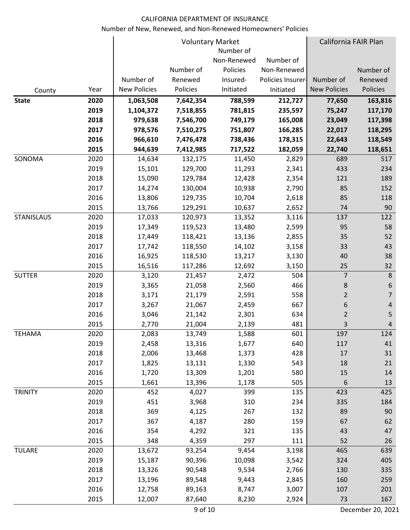|                   |      |                     |           | <b>Voluntary Market</b> |                   | California FAIR Plan |                |
|-------------------|------|---------------------|-----------|-------------------------|-------------------|----------------------|----------------|
|                   |      |                     |           | Number of               |                   |                      |                |
|                   |      |                     |           | Non-Renewed             | Number of         |                      |                |
|                   |      |                     | Number of | Policies                | Non-Renewed       |                      | Number of      |
|                   |      | Number of           | Renewed   | Insured-                | Policies Insurer- | Number of            | Renewed        |
| County            | Year | <b>New Policies</b> | Policies  | Initiated               | Initiated         | <b>New Policies</b>  | Policies       |
| <b>State</b>      | 2020 | 1,063,508           | 7,642,354 | 788,599                 | 212,727           | 77,650               | 163,816        |
|                   | 2019 | 1,104,372           | 7,518,855 | 781,815                 | 235,597           | 75,247               | 117,170        |
|                   | 2018 | 979,638             | 7,546,700 | 749,179                 | 165,008           | 23,049               | 117,398        |
|                   | 2017 | 978,576             | 7,510,275 | 751,807                 | 166,285           | 22,017               | 118,295        |
|                   | 2016 | 966,610             | 7,476,478 | 738,436                 | 178,315           | 22,643               | 118,549        |
|                   | 2015 | 944,639             | 7,412,985 | 717,522                 | 182,059           | 22,740               | 118,651        |
| SONOMA            | 2020 | 14,634              | 132,175   | 11,450                  | 2,829             | 689                  | 517            |
|                   | 2019 | 15,101              | 129,700   | 11,293                  | 2,341             | 433                  | 234            |
|                   | 2018 | 15,090              | 129,784   | 12,428                  | 2,354             | 121                  | 189            |
|                   | 2017 | 14,274              | 130,004   | 10,938                  | 2,790             | 85                   | 152            |
|                   | 2016 | 13,806              | 129,735   | 10,704                  | 2,618             | 85                   | 118            |
|                   | 2015 | 13,766              | 129,291   | 10,637                  | 2,652             | 74                   | 90             |
| <b>STANISLAUS</b> | 2020 | 17,033              | 120,973   | 13,352                  | 3,116             | 137                  | 122            |
|                   | 2019 | 17,349              | 119,523   | 13,480                  | 2,599             | 95                   | 58             |
|                   | 2018 | 17,449              | 118,421   | 13,136                  | 2,855             | 35                   | 52             |
|                   | 2017 | 17,742              | 118,550   | 14,102                  | 3,158             | 33                   | 43             |
|                   | 2016 | 16,925              | 118,530   | 13,217                  | 3,130             | 40                   | 38             |
|                   | 2015 | 16,516              | 117,286   | 12,692                  | 3,150             | 25                   | 32             |
| <b>SUTTER</b>     | 2020 | 3,120               | 21,457    | 2,472                   | 504               | $\overline{7}$       | $\,8\,$        |
|                   | 2019 | 3,365               | 21,058    | 2,560                   | 466               | 8                    | 6              |
|                   | 2018 | 3,171               | 21,179    | 2,591                   | 558               | $\overline{2}$       | $\overline{7}$ |
|                   | 2017 | 3,267               | 21,067    | 2,459                   | 667               | 6                    | $\overline{a}$ |
|                   | 2016 | 3,046               | 21,142    | 2,301                   | 634               | $\overline{2}$       | 5              |
|                   | 2015 | 2,770               | 21,004    | 2,139                   | 481               | 3                    | 4              |
| <b>TEHAMA</b>     | 2020 | 2,083               | 13,749    | 1,588                   | 601               | 197                  | 124            |
|                   | 2019 | 2,458               | 13,316    | 1,677                   | 640               | 117                  | 41             |
|                   | 2018 | 2,006               | 13,468    | 1,373                   | 428               | 17                   | 31             |
|                   | 2017 | 1,825               | 13,131    | 1,330                   | 543               | 18                   | 21             |
|                   | 2016 | 1,720               | 13,309    | 1,201                   | 580               | 15                   | 14             |
|                   | 2015 | 1,661               | 13,396    | 1,178                   | 505               | $6\,$                | 13             |
| <b>TRINITY</b>    | 2020 | 452                 | 4,027     | 399                     | 135               | 423                  | 425            |
|                   | 2019 | 451                 | 3,968     | 310                     | 234               | 335                  | 184            |
|                   | 2018 | 369                 | 4,125     | 267                     | 132               | 89                   | 90             |
|                   | 2017 | 367                 | 4,187     | 280                     | 159               | 67                   | 62             |
|                   | 2016 | 354                 | 4,292     | 321                     | 135               | 43                   | 47             |
|                   | 2015 | 348                 | 4,359     | 297                     | 111               | 52                   | 26             |
| <b>TULARE</b>     | 2020 | 13,672              | 93,254    | 9,454                   | 3,198             | 465                  | 639            |
|                   | 2019 | 15,187              | 90,396    | 10,098                  | 3,542             | 324                  | 405            |
|                   | 2018 | 13,326              | 90,548    | 9,534                   | 2,766             | 130                  | 335            |
|                   | 2017 | 13,196              | 89,548    | 9,443                   | 2,845             | 160                  | 259            |
|                   | 2016 | 12,758              | 89,163    | 8,747                   | 3,007             | 107                  | 201            |
|                   | 2015 | 12,007              | 87,640    | 8,230                   | 2,924             | 73                   | 167            |